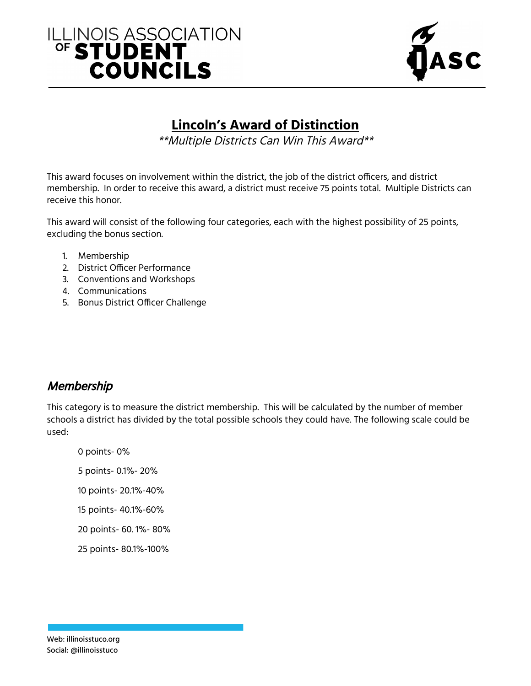# ILLINOIS ASSOCIATION **COUNCILS**



### **Lincoln's Award of Distinction**

\*\*Multiple Districts Can Win This Award\*\*

This award focuses on involvement within the district, the job of the district officers, and district membership. In order to receive this award, a district must receive 75 points total. Multiple Districts can receive this honor.

This award will consist of the following four categories, each with the highest possibility of 25 points, excluding the bonus section.

- 1. Membership
- 2. District Officer Performance
- 3. Conventions and Workshops
- 4. Communications
- 5. Bonus District Officer Challenge

#### **Membership**

This category is to measure the district membership. This will be calculated by the number of member schools a district has divided by the total possible schools they could have. The following scale could be used:

 points- 0% points- 0.1%- 20% points- 20.1%-40% points- 40.1%-60% points- 60. 1%- 80% points- 80.1%-100%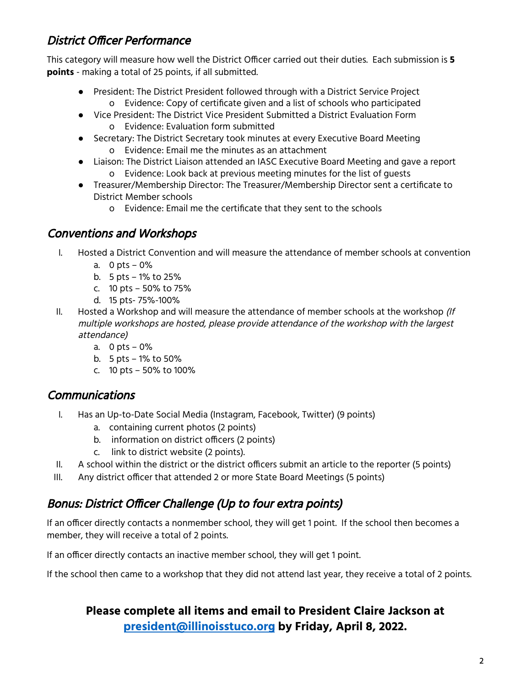#### District Officer Performance

This category will measure how well the District Officer carried out their duties. Each submission is **5 points** - making a total of 25 points, if all submitted.

- President: The District President followed through with a District Service Project o Evidence: Copy of certificate given and a list of schools who participated
- Vice President: The District Vice President Submitted a District Evaluation Form o Evidence: Evaluation form submitted
- Secretary: The District Secretary took minutes at every Executive Board Meeting o Evidence: Email me the minutes as an attachment
- Liaison: The District Liaison attended an IASC Executive Board Meeting and gave a report o Evidence: Look back at previous meeting minutes for the list of guests
- Treasurer/Membership Director: The Treasurer/Membership Director sent a certificate to District Member schools
	- o Evidence: Email me the certificate that they sent to the schools

#### Conventions and Workshops

- I. Hosted a District Convention and will measure the attendance of member schools at convention
	- a. 0 pts 0%
	- b. 5 pts 1% to 25%
	- c. 10 pts 50% to 75%
	- d. 15 pts- 75%-100%
- II. Hosted a Workshop and will measure the attendance of member schools at the workshop  $(ff)$ multiple workshops are hosted, please provide attendance of the workshop with the largest attendance)
	- a. 0 pts 0%
	- b. 5 pts 1% to 50%
	- c. 10 pts 50% to 100%

#### Communications

- I. Has an Up-to-Date Social Media (Instagram, Facebook, Twitter) (9 points)
	- a. containing current photos (2 points)
	- b. information on district officers (2 points)
	- c. link to district website (2 points).
- II. A school within the district or the district officers submit an article to the reporter (5 points)
- III. Any district officer that attended 2 or more State Board Meetings (5 points)

#### Bonus: District Officer Challenge (Up to four extra points)

If an officer directly contacts a nonmember school, they will get 1 point. If the school then becomes a member, they will receive a total of 2 points.

If an officer directly contacts an inactive member school, they will get 1 point.

If the school then came to a workshop that they did not attend last year, they receive a total of 2 points.

#### **Please complete all items and email to President Claire Jackson at [president@illinoisstuco.org](mailto:president@illinoisstuco.org) by Friday, April 8, 2022.**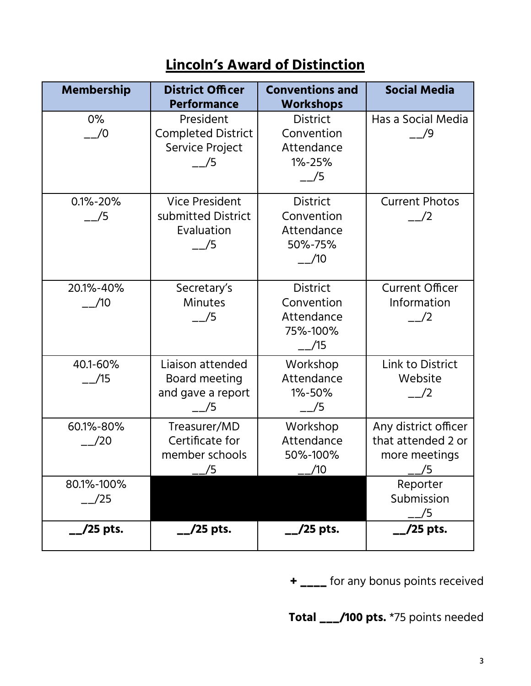## **Lincoln's Award of Distinction**

| <b>Membership</b>           | <b>District Officer</b><br><b>Performance</b>                       | <b>Conventions and</b><br><b>Workshops</b>                                | <b>Social Media</b>                                               |
|-----------------------------|---------------------------------------------------------------------|---------------------------------------------------------------------------|-------------------------------------------------------------------|
| $0\%$<br>$\frac{-1}{0}$     | President<br><b>Completed District</b><br>Service Project<br>/5     | <b>District</b><br>Convention<br>Attendance<br>1%-25%<br>$-$ /5           | Has a Social Media<br>$\frac{-}{9}$                               |
| $0.1\% - 20\%$<br>$-$ /5    | <b>Vice President</b><br>submitted District<br>Evaluation<br>$-$ /5 | <b>District</b><br>Convention<br>Attendance<br>50%-75%<br>$-$ /10         | <b>Current Photos</b><br>$\frac{-1}{2}$                           |
| 20.1%-40%<br>$\frac{1}{10}$ | Secretary's<br><b>Minutes</b><br>$-$ /5                             | <b>District</b><br>Convention<br>Attendance<br>75%-100%<br>$\frac{1}{15}$ | <b>Current Officer</b><br>Information<br>$\frac{1}{2}$            |
| 40.1-60%<br>$ /15$          | Liaison attended<br>Board meeting<br>and gave a report<br>/5        | Workshop<br>Attendance<br>1%-50%<br>$-$ /5                                | Link to District<br>Website<br>$\frac{-}{2}$                      |
| 60.1%-80%<br>$-$ /20        | Treasurer/MD<br>Certificate for<br>member schools<br>/5             | Workshop<br>Attendance<br>50%-100%<br>1/10                                | Any district officer<br>that attended 2 or<br>more meetings<br>/5 |
| 80.1%-100%<br>/25           |                                                                     |                                                                           | Reporter<br>Submission<br>/5                                      |
| /25 pts.                    | /25 pts.                                                            | /25 pts.                                                                  | /25 pts.                                                          |

**+ \_\_\_\_** for any bonus points received

**Total \_\_\_/100 pts.** \*75 points needed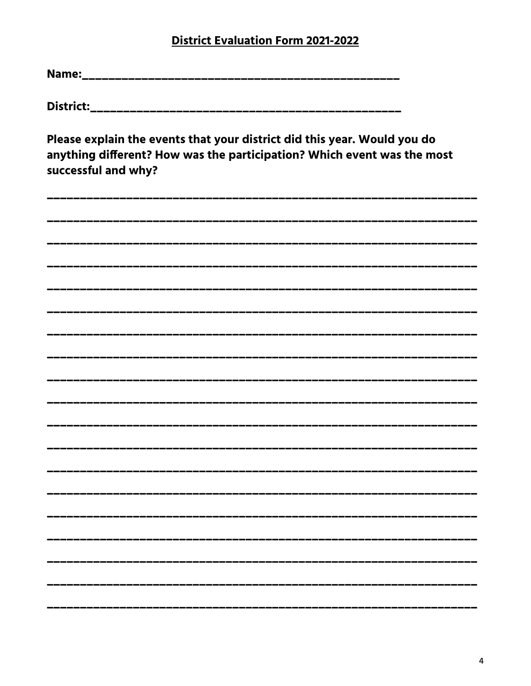#### **District Evaluation Form 2021-2022**

Please explain the events that your district did this year. Would you do anything different? How was the participation? Which event was the most successful and why?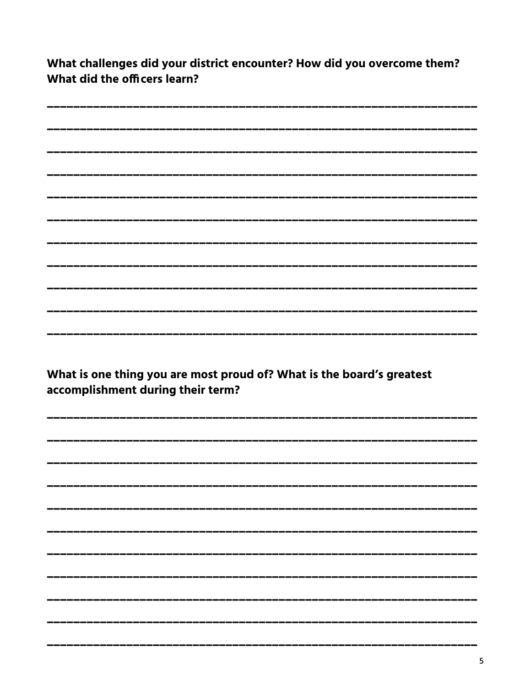What challenges did your district encounter? How did you overcome them? What did the officers learn?

| ______________________            |                                                                       |  |
|-----------------------------------|-----------------------------------------------------------------------|--|
|                                   |                                                                       |  |
| accomplishment during their term? | What is one thing you are most proud of? What is the board's greatest |  |
|                                   |                                                                       |  |
|                                   |                                                                       |  |
|                                   |                                                                       |  |
|                                   |                                                                       |  |
|                                   |                                                                       |  |
|                                   |                                                                       |  |
|                                   |                                                                       |  |
|                                   |                                                                       |  |
|                                   |                                                                       |  |
|                                   |                                                                       |  |
|                                   |                                                                       |  |
|                                   |                                                                       |  |
|                                   |                                                                       |  |
|                                   |                                                                       |  |
|                                   |                                                                       |  |
|                                   |                                                                       |  |
|                                   |                                                                       |  |
|                                   |                                                                       |  |
|                                   |                                                                       |  |
|                                   |                                                                       |  |